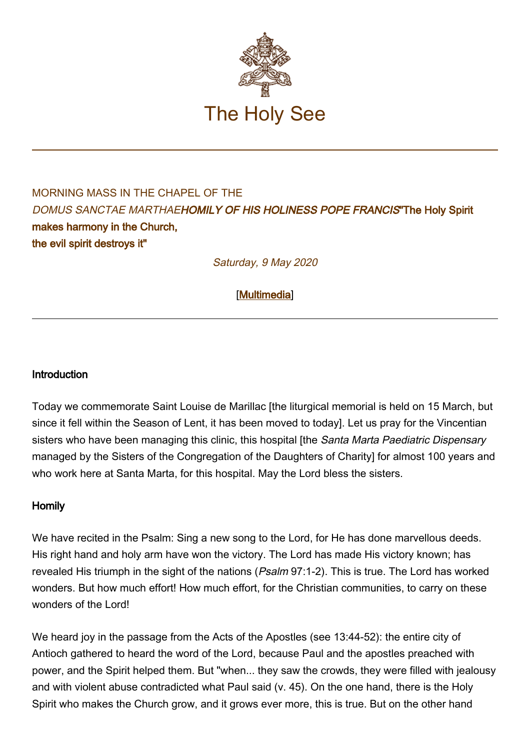

## MORNING MASS IN THE CHAPFL OF THE DOMUS SANCTAE MARTHAEHOMILY OF HIS HOLINESS POPE FRANCIS"The Holy Spirit makes harmony in the Church, the evil spirit destroys it"

Saturday, 9 May 2020

[\[Multimedia](http://w2.vatican.va/content/francesco/en/events/event.dir.html/content/vaticanevents/en/2020/5/9/santamarta.html)]

## **Introduction**

Today we commemorate Saint Louise de Marillac [the liturgical memorial is held on 15 March, but since it fell within the Season of Lent, it has been moved to today]. Let us pray for the Vincentian sisters who have been managing this clinic, this hospital [the Santa Marta Paediatric Dispensary managed by the Sisters of the Congregation of the Daughters of Charity] for almost 100 years and who work here at Santa Marta, for this hospital. May the Lord bless the sisters.

## Homily

We have recited in the Psalm: Sing a new song to the Lord, for He has done marvellous deeds. His right hand and holy arm have won the victory. The Lord has made His victory known; has revealed His triumph in the sight of the nations (Psalm 97:1-2). This is true. The Lord has worked wonders. But how much effort! How much effort, for the Christian communities, to carry on these wonders of the Lord!

We heard joy in the passage from the Acts of the Apostles (see 13:44-52): the entire city of Antioch gathered to heard the word of the Lord, because Paul and the apostles preached with power, and the Spirit helped them. But "when... they saw the crowds, they were filled with jealousy and with violent abuse contradicted what Paul said (v. 45). On the one hand, there is the Holy Spirit who makes the Church grow, and it grows ever more, this is true. But on the other hand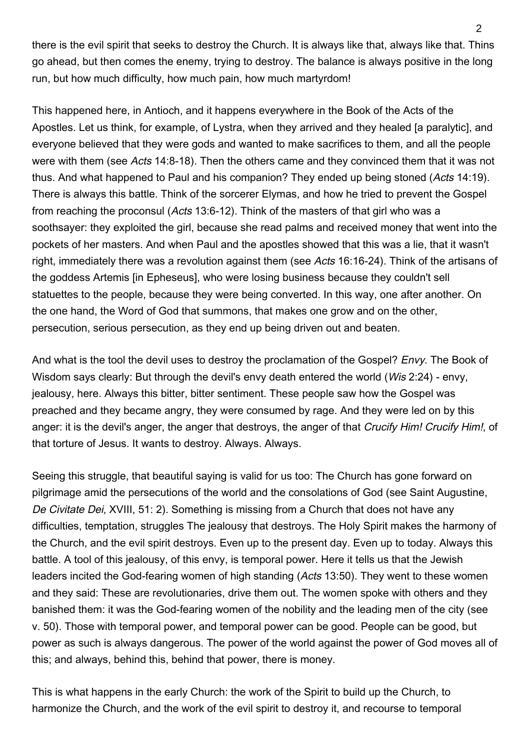there is the evil spirit that seeks to destroy the Church. It is always like that, always like that. Thins go ahead, but then comes the enemy, trying to destroy. The balance is always positive in the long run, but how much difficulty, how much pain, how much martyrdom!

This happened here, in Antioch, and it happens everywhere in the Book of the Acts of the Apostles. Let us think, for example, of Lystra, when they arrived and they healed [a paralytic], and everyone believed that they were gods and wanted to make sacrifices to them, and all the people were with them (see Acts 14:8-18). Then the others came and they convinced them that it was not thus. And what happened to Paul and his companion? They ended up being stoned (Acts 14:19). There is always this battle. Think of the sorcerer Elymas, and how he tried to prevent the Gospel from reaching the proconsul (Acts 13:6-12). Think of the masters of that girl who was a soothsayer: they exploited the girl, because she read palms and received money that went into the pockets of her masters. And when Paul and the apostles showed that this was a lie, that it wasn't right, immediately there was a revolution against them (see Acts 16:16-24). Think of the artisans of the goddess Artemis [in Epheseus], who were losing business because they couldn't sell statuettes to the people, because they were being converted. In this way, one after another. On the one hand, the Word of God that summons, that makes one grow and on the other, persecution, serious persecution, as they end up being driven out and beaten.

And what is the tool the devil uses to destroy the proclamation of the Gospel? *Envy*. The Book of Wisdom says clearly: But through the devil's envy death entered the world (*Wis* 2:24) - envy, jealousy, here. Always this bitter, bitter sentiment. These people saw how the Gospel was preached and they became angry, they were consumed by rage. And they were led on by this anger: it is the devil's anger, the anger that destroys, the anger of that Crucify Him! Crucify Him!, of that torture of Jesus. It wants to destroy. Always. Always.

Seeing this struggle, that beautiful saying is valid for us too: The Church has gone forward on pilgrimage amid the persecutions of the world and the consolations of God (see Saint Augustine, De Civitate Dei, XVIII, 51: 2). Something is missing from a Church that does not have any difficulties, temptation, struggles The jealousy that destroys. The Holy Spirit makes the harmony of the Church, and the evil spirit destroys. Even up to the present day. Even up to today. Always this battle. A tool of this jealousy, of this envy, is temporal power. Here it tells us that the Jewish leaders incited the God-fearing women of high standing (Acts 13:50). They went to these women and they said: These are revolutionaries, drive them out. The women spoke with others and they banished them: it was the God-fearing women of the nobility and the leading men of the city (see v. 50). Those with temporal power, and temporal power can be good. People can be good, but power as such is always dangerous. The power of the world against the power of God moves all of this; and always, behind this, behind that power, there is money.

This is what happens in the early Church: the work of the Spirit to build up the Church, to harmonize the Church, and the work of the evil spirit to destroy it, and recourse to temporal